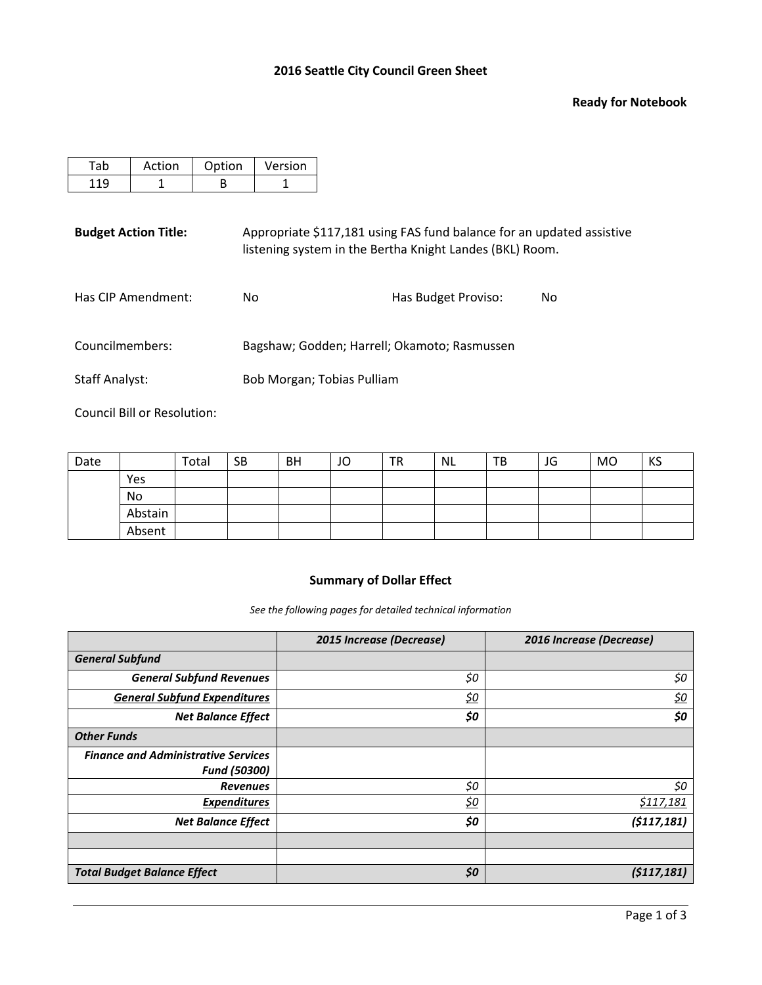#### **Ready for Notebook**

| Action | Option | Version |
|--------|--------|---------|
|        |        |         |

Budget Action Title: Appropriate \$117,181 using FAS fund balance for an updated assistive listening system in the Bertha Knight Landes (BKL) Room.

| Has CIP Amendment: | No                                           | Has Budget Proviso: | No. |
|--------------------|----------------------------------------------|---------------------|-----|
| Councilmembers:    | Bagshaw; Godden; Harrell; Okamoto; Rasmussen |                     |     |

Staff Analyst: Bob Morgan; Tobias Pulliam

Council Bill or Resolution:

| Date |         | Total | <b>SB</b> | <b>BH</b> | JO | <b>TR</b> | NL | TB | JG | <b>MO</b> | KS |
|------|---------|-------|-----------|-----------|----|-----------|----|----|----|-----------|----|
|      | Yes     |       |           |           |    |           |    |    |    |           |    |
|      | No      |       |           |           |    |           |    |    |    |           |    |
|      | Abstain |       |           |           |    |           |    |    |    |           |    |
|      | Absent  |       |           |           |    |           |    |    |    |           |    |

# **Summary of Dollar Effect**

*See the following pages for detailed technical information*

|                                            | 2015 Increase (Decrease) | 2016 Increase (Decrease) |
|--------------------------------------------|--------------------------|--------------------------|
| <b>General Subfund</b>                     |                          |                          |
| <b>General Subfund Revenues</b>            | \$0                      | \$0                      |
| <b>General Subfund Expenditures</b>        | <u>\$0</u>               | <u>\$0</u>               |
| <b>Net Balance Effect</b>                  | \$0                      | \$0                      |
| <b>Other Funds</b>                         |                          |                          |
| <b>Finance and Administrative Services</b> |                          |                          |
| <b>Fund (50300)</b>                        |                          |                          |
| <b>Revenues</b>                            | \$0                      | \$0                      |
| <b>Expenditures</b>                        | <u>\$0</u>               | <u>\$117,181</u>         |
| <b>Net Balance Effect</b>                  | \$0                      | (\$117,181)              |
|                                            |                          |                          |
|                                            |                          |                          |
| <b>Total Budget Balance Effect</b>         | \$0                      | (5117, 181)              |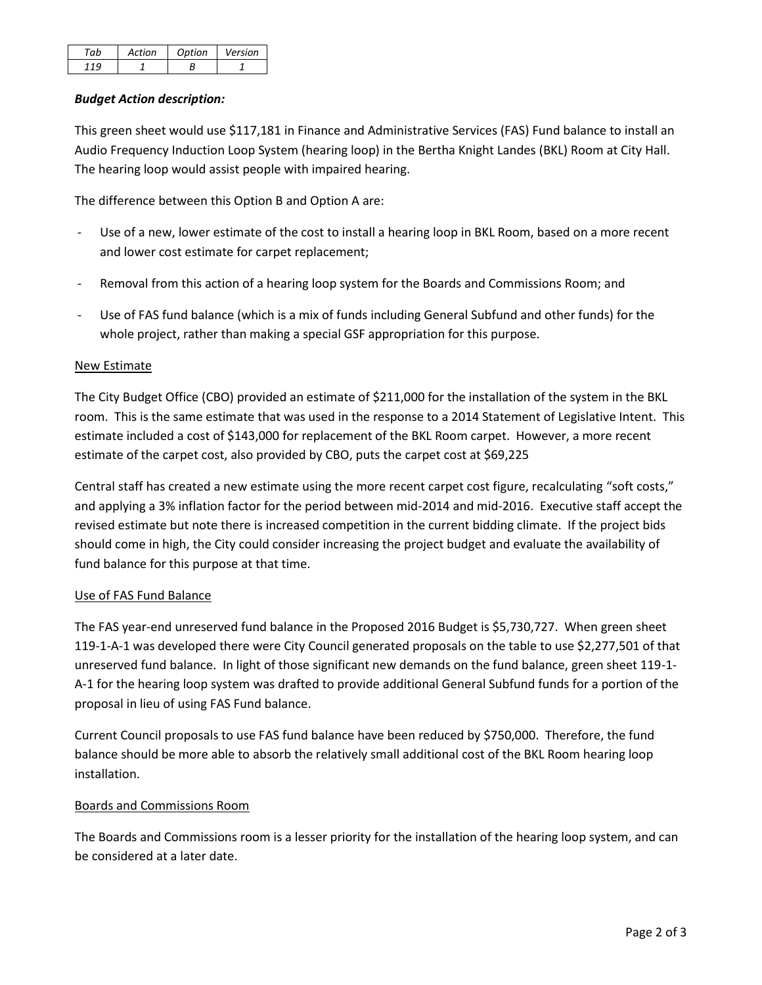| ah | Action | Ontion | Version |
|----|--------|--------|---------|
|    |        |        |         |

## *Budget Action description:*

This green sheet would use \$117,181 in Finance and Administrative Services (FAS) Fund balance to install an Audio Frequency Induction Loop System (hearing loop) in the Bertha Knight Landes (BKL) Room at City Hall. The hearing loop would assist people with impaired hearing.

The difference between this Option B and Option A are:

- Use of a new, lower estimate of the cost to install a hearing loop in BKL Room, based on a more recent and lower cost estimate for carpet replacement;
- Removal from this action of a hearing loop system for the Boards and Commissions Room; and
- Use of FAS fund balance (which is a mix of funds including General Subfund and other funds) for the whole project, rather than making a special GSF appropriation for this purpose.

# New Estimate

The City Budget Office (CBO) provided an estimate of \$211,000 for the installation of the system in the BKL room. This is the same estimate that was used in the response to a 2014 Statement of Legislative Intent. This estimate included a cost of \$143,000 for replacement of the BKL Room carpet. However, a more recent estimate of the carpet cost, also provided by CBO, puts the carpet cost at \$69,225

Central staff has created a new estimate using the more recent carpet cost figure, recalculating "soft costs," and applying a 3% inflation factor for the period between mid-2014 and mid-2016. Executive staff accept the revised estimate but note there is increased competition in the current bidding climate. If the project bids should come in high, the City could consider increasing the project budget and evaluate the availability of fund balance for this purpose at that time.

### Use of FAS Fund Balance

The FAS year-end unreserved fund balance in the Proposed 2016 Budget is \$5,730,727. When green sheet 119-1-A-1 was developed there were City Council generated proposals on the table to use \$2,277,501 of that unreserved fund balance. In light of those significant new demands on the fund balance, green sheet 119-1- A-1 for the hearing loop system was drafted to provide additional General Subfund funds for a portion of the proposal in lieu of using FAS Fund balance.

Current Council proposals to use FAS fund balance have been reduced by \$750,000. Therefore, the fund balance should be more able to absorb the relatively small additional cost of the BKL Room hearing loop installation.

### Boards and Commissions Room

The Boards and Commissions room is a lesser priority for the installation of the hearing loop system, and can be considered at a later date.